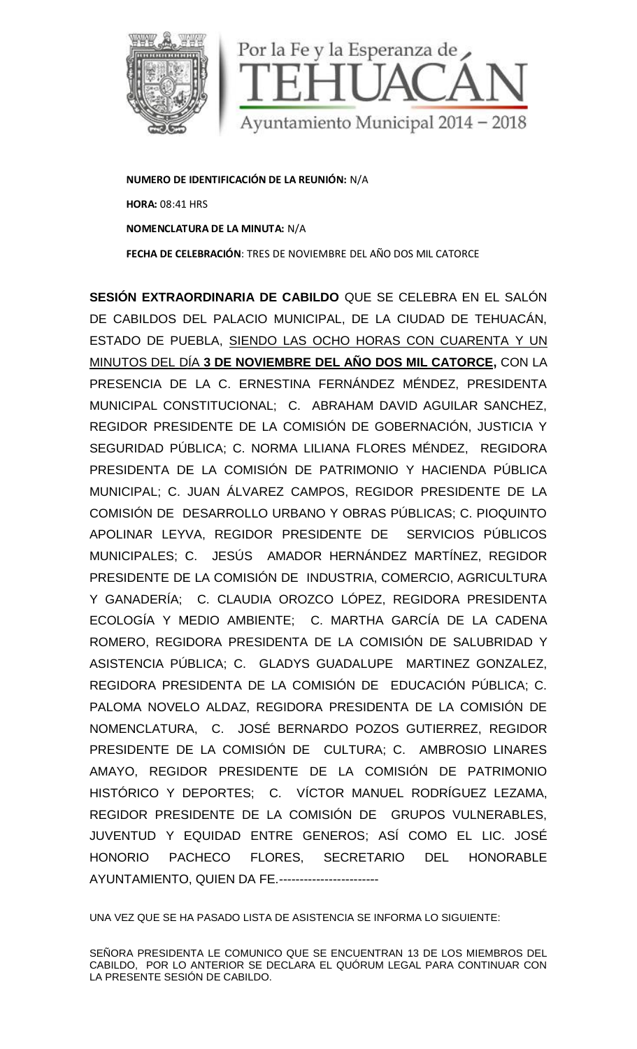

**NUMERO DE IDENTIFICACIÓN DE LA REUNIÓN:** N/A **HORA:** 08:41 HRS **NOMENCLATURA DE LA MINUTA:** N/A **FECHA DE CELEBRACIÓN**: TRES DE NOVIEMBRE DEL AÑO DOS MIL CATORCE

**SESIÓN EXTRAORDINARIA DE CABILDO** QUE SE CELEBRA EN EL SALÓN DE CABILDOS DEL PALACIO MUNICIPAL, DE LA CIUDAD DE TEHUACÁN, ESTADO DE PUEBLA, SIENDO LAS OCHO HORAS CON CUARENTA Y UN MINUTOS DEL DÍA **3DE NOVIEMBRE DEL AÑO DOS MIL CATORCE,** CON LA PRESENCIA DE LA C. ERNESTINA FERNÁNDEZ MÉNDEZ, PRESIDENTA MUNICIPAL CONSTITUCIONAL; C. ABRAHAM DAVID AGUILAR SANCHEZ, REGIDOR PRESIDENTE DE LA COMISIÓN DE GOBERNACIÓN, JUSTICIA Y SEGURIDAD PÚBLICA; C. NORMA LILIANA FLORES MÉNDEZ, REGIDORA PRESIDENTA DE LA COMISIÓN DE PATRIMONIO Y HACIENDA PÚBLICA MUNICIPAL; C. JUAN ÁLVAREZ CAMPOS, REGIDOR PRESIDENTE DE LA COMISIÓN DE DESARROLLO URBANO Y OBRAS PÚBLICAS; C. PIOQUINTO APOLINAR LEYVA, REGIDOR PRESIDENTE DE SERVICIOS PÚBLICOS MUNICIPALES; C. JESÚS AMADOR HERNÁNDEZ MARTÍNEZ, REGIDOR PRESIDENTE DE LA COMISIÓN DE INDUSTRIA, COMERCIO, AGRICULTURA Y GANADERÍA; C. CLAUDIA OROZCO LÓPEZ, REGIDORA PRESIDENTA ECOLOGÍA Y MEDIO AMBIENTE; C. MARTHA GARCÍA DE LA CADENA ROMERO, REGIDORA PRESIDENTA DE LA COMISIÓN DE SALUBRIDAD Y ASISTENCIA PÚBLICA; C. GLADYS GUADALUPE MARTINEZ GONZALEZ, REGIDORA PRESIDENTA DE LA COMISIÓN DE EDUCACIÓN PÚBLICA; C. PALOMA NOVELO ALDAZ, REGIDORA PRESIDENTA DE LA COMISIÓN DE NOMENCLATURA, C. JOSÉ BERNARDO POZOS GUTIERREZ, REGIDOR PRESIDENTE DE LA COMISIÓN DE CULTURA; C. AMBROSIO LINARES AMAYO, REGIDOR PRESIDENTE DE LA COMISIÓN DE PATRIMONIO HISTÓRICO Y DEPORTES; C. VÍCTOR MANUEL RODRÍGUEZ LEZAMA, REGIDOR PRESIDENTE DE LA COMISIÓN DE GRUPOS VULNERABLES, JUVENTUD Y EQUIDAD ENTRE GENEROS; ASÍ COMO EL LIC. JOSÉ HONORIO PACHECO FLORES, SECRETARIO DEL HONORABLE AYUNTAMIENTO, QUIEN DA FE.------------------------ LA C. ERNESTINA FERNANDEZ MENDEZ, PRESIDENTA<br>STITUCIONAL; C. ABRAHAM DAVID AGUILAR SANCHEZ,<br>DENTE DE LA COMISIÓN DE GOBERNACIÓN, JUSTICIA Y<br>LICA; C. NORMA LILIANA FLORES MÉNDEZ, REGIDORA<br>LA COMISIÓN DE PATRIMONIO Y HACIEND SE DE DESAFRACIO MENINON: N/A<br>
SE DE CELEBRACIÓN: TRES DE NOVIEMBRE DEL AÑO DOS MIL CATORCE<br>
SE DEL PALACIO MUNICIPAL, DE LA CIUDA DE TEHUACÁN,<br>
SE PUEBLA, SIENDO LAS OCHO HORAS CON CUARENTA Y UN<br>
EL DÍA 3 DE NOVIEMBRE DEL

UNA VEZ QUE SE HA PASADO LISTA DE ASISTENCIA SE INFORMA LO SIGUIENTE:

SEÑORA PRESIDENTA LE COMUNICO QUE SE ENCUENTRAN 13 DE LOS MIEMBROS DEL CABILDO, POR LO ANTERIOR SE DECLARA EL QUORUM LEGAL PARA CONTINUAR CON<br>LA PRESENTE SESIÓN DE CABILDO. LA PRESENTE SESIÓN DE CABILDO.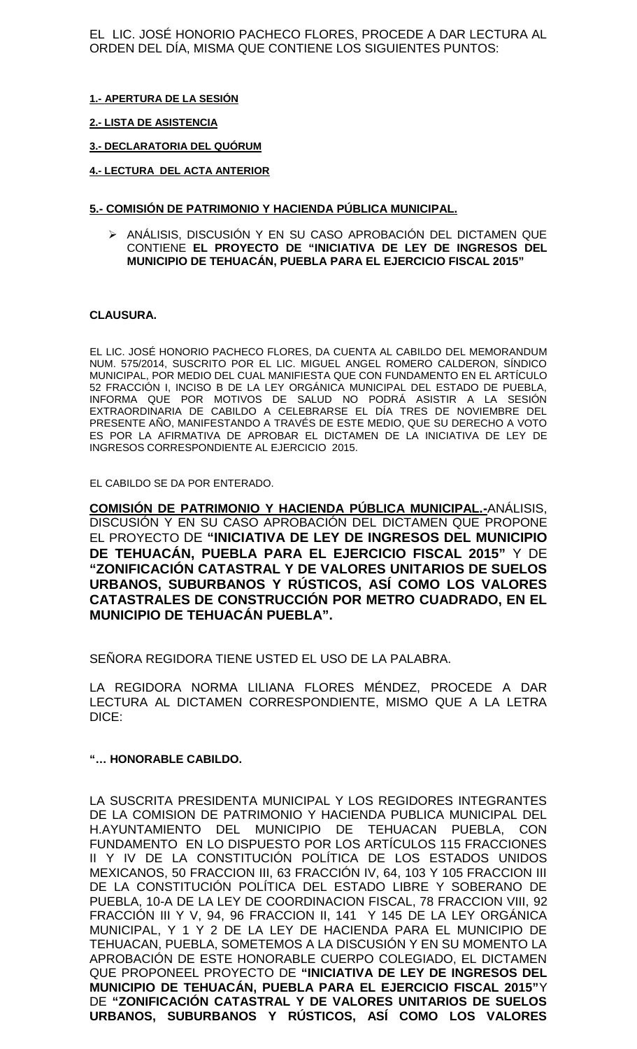EL LIC. JOSÉ HONORIO PACHECO FLORES, PROCEDE A DAR LECTURA AL ORDEN DEL DÍA, MISMA QUE CONTIENE LOS SIGUIENTES PUNTOS:

#### **1.- APERTURA DE LA SESIÓN**

#### **2.- LISTA DE ASISTENCIA**

## **3.- DECLARATORIA DEL QUÓRUM**

#### **4.- LECTURA DEL ACTA ANTERIOR**

#### **5.- COMISIÓN DE PATRIMONIO Y HACIENDA PÚBLICA MUNICIPAL.**

 ANÁLISIS, DISCUSIÓN Y EN SU CASO APROBACIÓN DEL DICTAMEN QUE CONTIENE **EL PROYECTO DE "INICIATIVA DE LEY DE INGRESOS DEL MUNICIPIO DE TEHUACÁN, PUEBLA PARA EL EJERCICIO FISCAL 2015"**

## **CLAUSURA.**

EL LIC. JOSÉ HONORIO PACHECO FLORES, DA CUENTA AL CABILDO DEL MEMORANDUM NUM. 575/2014, SUSCRITO POR EL LIC. MIGUEL ANGEL ROMERO CALDERON, SÍNDICO MUNICIPAL, POR MEDIO DEL CUAL MANIFIESTA QUE CON FUNDAMENTO EN EL ARTÍCULO 52 FRACCIÓN I, INCISO B DE LA LEY ORGÁNICA MUNICIPAL DEL ESTADO DE PUEBLA, INFORMA QUE POR MOTIVOS DE SALUD NO PODRÁ ASISTIR A LA SESIÓN EXTRAORDINARIA DE CABILDO A CELEBRARSE EL DÍA TRES DE NOVIEMBRE DEL PRESENTE AÑO, MANIFESTANDO A TRAVÉS DE ESTE MEDIO, QUE SU DERECHO A VOTO ES POR LA AFIRMATIVA DE APROBAR EL DICTAMEN DE LA INICIATIVA DE LEY DE INGRESOS CORRESPONDIENTE AL EJERCICIO 2015.

EL CABILDO SE DA POR ENTERADO.

**COMISIÓN DE PATRIMONIO Y HACIENDA PÚBLICA MUNICIPAL.-**ANÁLISIS, DISCUSIÓN Y EN SU CASO APROBACIÓN DEL DICTAMEN QUE PROPONE EL PROYECTO DE **"INICIATIVA DE LEY DE INGRESOS DEL MUNICIPIO DE TEHUACÁN, PUEBLA PARA EL EJERCICIO FISCAL 2015"** Y DE **"ZONIFICACIÓN CATASTRAL Y DE VALORES UNITARIOS DE SUELOS URBANOS, SUBURBANOS Y RÚSTICOS, ASÍ COMO LOS VALORES CATASTRALES DE CONSTRUCCIÓN POR METRO CUADRADO, EN EL MUNICIPIO DE TEHUACÁN PUEBLA".**

SEÑORA REGIDORA TIENE USTED EL USO DE LA PALABRA.

LA REGIDORA NORMA LILIANA FLORES MÉNDEZ, PROCEDE A DAR LECTURA AL DICTAMEN CORRESPONDIENTE, MISMO QUE A LA LETRA DICE:

#### **"… HONORABLE CABILDO.**

LA SUSCRITA PRESIDENTA MUNICIPAL Y LOS REGIDORES INTEGRANTES DE LA COMISION DE PATRIMONIO Y HACIENDA PUBLICA MUNICIPAL DEL H.AYUNTAMIENTO DEL MUNICIPIO DE TEHUACAN PUEBLA, CON FUNDAMENTO EN LO DISPUESTO POR LOS ARTÍCULOS 115 FRACCIONES II Y IV DE LA CONSTITUCIÓN POLÍTICA DE LOS ESTADOS UNIDOS MEXICANOS, 50 FRACCION III, 63 FRACCIÓN IV, 64, 103 Y 105 FRACCION III DE LA CONSTITUCIÓN POLÍTICA DEL ESTADO LIBRE Y SOBERANO DE PUEBLA, 10-A DE LA LEY DE COORDINACION FISCAL, 78 FRACCION VIII, 92 FRACCIÓN III Y V, 94, 96 FRACCION II, 141 Y 145 DE LA LEY ORGÁNICA MUNICIPAL, Y 1 Y 2 DE LA LEY DE HACIENDA PARA EL MUNICIPIO DE TEHUACAN, PUEBLA, SOMETEMOS A LA DISCUSIÓN Y EN SU MOMENTO LA APROBACIÓN DE ESTE HONORABLE CUERPO COLEGIADO, EL DICTAMEN QUE PROPONEEL PROYECTO DE **"INICIATIVA DE LEY DE INGRESOS DEL MUNICIPIO DE TEHUACÁN, PUEBLA PARA EL EJERCICIO FISCAL 2015"**Y DE **"ZONIFICACIÓN CATASTRAL Y DE VALORES UNITARIOS DE SUELOS URBANOS, SUBURBANOS Y RÚSTICOS, ASÍ COMO LOS VALORES**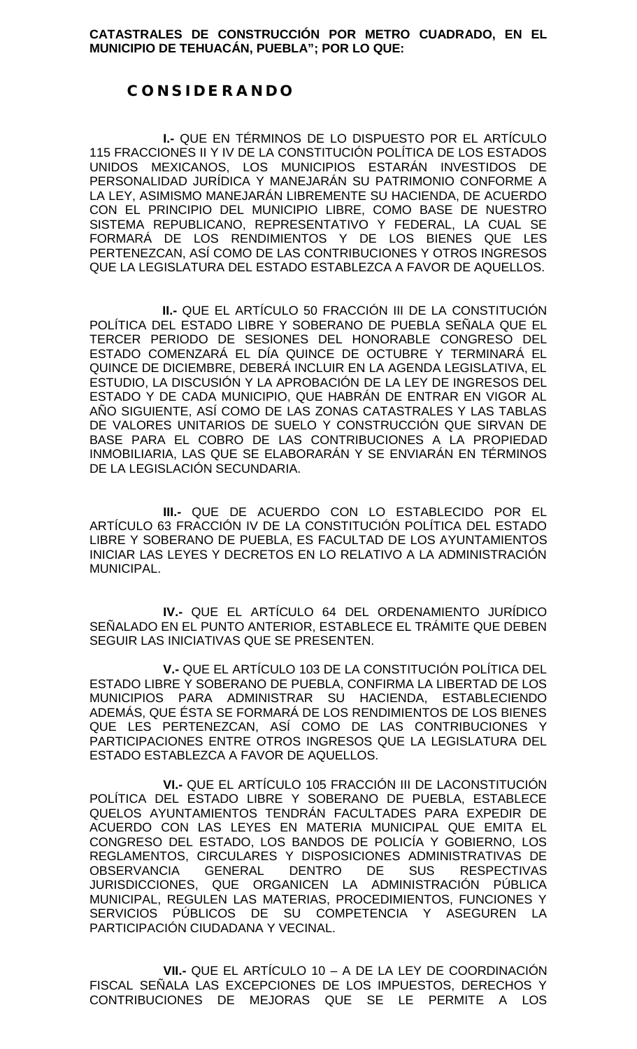**CATASTRALES DE CONSTRUCCIÓN POR METRO CUADRADO, EN EL MUNICIPIO DE TEHUACÁN, PUEBLA"; POR LO QUE:**

## *C O N S I D E R A N D O*

**I.-** QUE EN TÉRMINOS DE LO DISPUESTO POR EL ARTÍCULO 115 FRACCIONES II Y IV DE LA CONSTITUCIÓN POLÍTICA DE LOS ESTADOS UNIDOS MEXICANOS, LOS MUNICIPIOS ESTARÁN INVESTIDOS DE PERSONALIDAD JURÍDICA Y MANEJARÁN SU PATRIMONIO CONFORME A LA LEY, ASIMISMO MANEJARÁN LIBREMENTE SU HACIENDA, DE ACUERDO CON EL PRINCIPIO DEL MUNICIPIO LIBRE, COMO BASE DE NUESTRO SISTEMA REPUBLICANO, REPRESENTATIVO Y FEDERAL, LA CUAL SE FORMARÁ DE LOS RENDIMIENTOS Y DE LOS BIENES QUE LES PERTENEZCAN, ASÍ COMO DE LAS CONTRIBUCIONES Y OTROS INGRESOS QUE LA LEGISLATURA DEL ESTADO ESTABLEZCA A FAVOR DE AQUELLOS.

**II.-** QUE EL ARTÍCULO 50 FRACCIÓN III DE LA CONSTITUCIÓN POLÍTICA DEL ESTADO LIBRE Y SOBERANO DE PUEBLA SEÑALA QUE EL TERCER PERIODO DE SESIONES DEL HONORABLE CONGRESO DEL ESTADO COMENZARÁ EL DÍA QUINCE DE OCTUBRE Y TERMINARÁ EL QUINCE DE DICIEMBRE, DEBERÁ INCLUIR EN LA AGENDA LEGISLATIVA, EL ESTUDIO, LA DISCUSIÓN Y LA APROBACIÓN DE LA LEY DE INGRESOS DEL ESTADO Y DE CADA MUNICIPIO, QUE HABRÁN DE ENTRAR EN VIGOR AL AÑO SIGUIENTE, ASÍ COMO DE LAS ZONAS CATASTRALES Y LAS TABLAS DE VALORES UNITARIOS DE SUELO Y CONSTRUCCIÓN QUE SIRVAN DE BASE PARA EL COBRO DE LAS CONTRIBUCIONES A LA PROPIEDAD INMOBILIARIA, LAS QUE SE ELABORARÁN Y SE ENVIARÁN EN TÉRMINOS DE LA LEGISLACIÓN SECUNDARIA.

**III.-** QUE DE ACUERDO CON LO ESTABLECIDO POR EL ARTÍCULO 63 FRACCIÓN IV DE LA CONSTITUCIÓN POLÍTICA DEL ESTADO LIBRE Y SOBERANO DE PUEBLA, ES FACULTAD DE LOS AYUNTAMIENTOS INICIAR LAS LEYES Y DECRETOS EN LO RELATIVO A LA ADMINISTRACIÓN MUNICIPAL.

**IV.-** QUE EL ARTÍCULO 64 DEL ORDENAMIENTO JURÍDICO SEÑALADO EN EL PUNTO ANTERIOR, ESTABLECE EL TRÁMITE QUE DEBEN SEGUIR LAS INICIATIVAS QUE SE PRESENTEN.

**V.-** QUE EL ARTÍCULO 103 DE LA CONSTITUCIÓN POLÍTICA DEL ESTADO LIBRE Y SOBERANO DE PUEBLA, CONFIRMA LA LIBERTAD DE LOS MUNICIPIOS PARA ADMINISTRAR SU HACIENDA, ESTABLECIENDO ADEMÁS, QUE ÉSTA SE FORMARÁ DE LOS RENDIMIENTOS DE LOS BIENES QUE LES PERTENEZCAN, ASÍ COMO DE LAS CONTRIBUCIONES Y PARTICIPACIONES ENTRE OTROS INGRESOS QUE LA LEGISLATURA DEL ESTADO ESTABLEZCA A FAVOR DE AQUELLOS.

**VI.-** QUE EL ARTÍCULO 105 FRACCIÓN III DE LACONSTITUCIÓN POLÍTICA DEL ESTADO LIBRE Y SOBERANO DE PUEBLA, ESTABLECE QUELOS AYUNTAMIENTOS TENDRÁN FACULTADES PARA EXPEDIR DE ACUERDO CON LAS LEYES EN MATERIA MUNICIPAL QUE EMITA EL CONGRESO DEL ESTADO, LOS BANDOS DE POLICÍA Y GOBIERNO, LOS REGLAMENTOS, CIRCULARES Y DISPOSICIONES ADMINISTRATIVAS DE OBSERVANCIA GENERAL DENTRO DE SUS RESPECTIVAS JURISDICCIONES, QUE ORGANICEN LA ADMINISTRACIÓN PÚBLICA MUNICIPAL, REGULEN LAS MATERIAS, PROCEDIMIENTOS, FUNCIONES Y SERVICIOS PÚBLICOS DE SU COMPETENCIA Y ASEGUREN LA PARTICIPACIÓN CIUDADANA Y VECINAL.

**VII.-** QUE EL ARTÍCULO 10 – A DE LA LEY DE COORDINACIÓN FISCAL SEÑALA LAS EXCEPCIONES DE LOS IMPUESTOS, DERECHOS Y CONTRIBUCIONES DE MEJORAS QUE SE LE PERMITE A LOS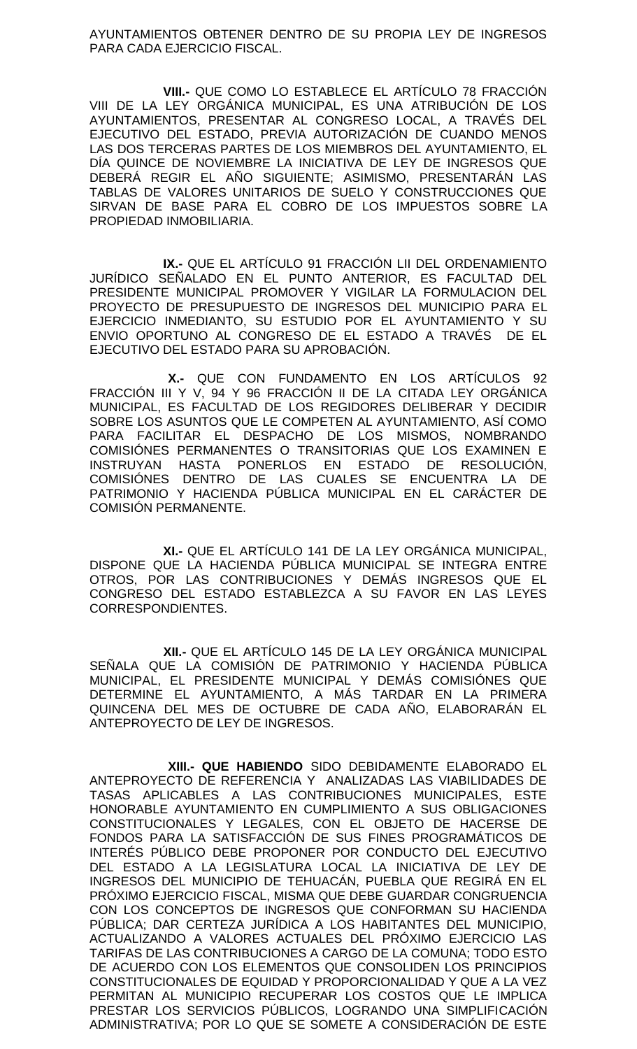AYUNTAMIENTOS OBTENER DENTRO DE SU PROPIA LEY DE INGRESOS PARA CADA EJERCICIO FISCAL.

**VIII.-** QUE COMO LO ESTABLECE EL ARTÍCULO 78 FRACCIÓN VIII DE LA LEY ORGÁNICA MUNICIPAL, ES UNA ATRIBUCIÓN DE LOS AYUNTAMIENTOS, PRESENTAR AL CONGRESO LOCAL, A TRAVÉS DEL EJECUTIVO DEL ESTADO, PREVIA AUTORIZACIÓN DE CUANDO MENOS LAS DOS TERCERAS PARTES DE LOS MIEMBROS DEL AYUNTAMIENTO, EL DÍA QUINCE DE NOVIEMBRE LA INICIATIVA DE LEY DE INGRESOS QUE DEBERÁ REGIR EL AÑO SIGUIENTE; ASIMISMO, PRESENTARÁN LAS TABLAS DE VALORES UNITARIOS DE SUELO Y CONSTRUCCIONES QUE SIRVAN DE BASE PARA EL COBRO DE LOS IMPUESTOS SOBRE LA PROPIEDAD INMOBILIARIA.

**IX.-** QUE EL ARTÍCULO 91 FRACCIÓN LII DEL ORDENAMIENTO JURÍDICO SEÑALADO EN EL PUNTO ANTERIOR, ES FACULTAD DEL PRESIDENTE MUNICIPAL PROMOVER Y VIGILAR LA FORMULACION DEL PROYECTO DE PRESUPUESTO DE INGRESOS DEL MUNICIPIO PARA EL EJERCICIO INMEDIANTO, SU ESTUDIO POR EL AYUNTAMIENTO Y SU ENVIO OPORTUNO AL CONGRESO DE EL ESTADO A TRAVÉS DE EL EJECUTIVO DEL ESTADO PARA SU APROBACIÓN.

**X.-** QUE CON FUNDAMENTO EN LOS ARTÍCULOS 92 FRACCIÓN III Y V, 94 Y 96 FRACCIÓN II DE LA CITADA LEY ORGÁNICA MUNICIPAL, ES FACULTAD DE LOS REGIDORES DELIBERAR Y DECIDIR SOBRE LOS ASUNTOS QUE LE COMPETEN AL AYUNTAMIENTO, ASÍ COMO PARA FACILITAR EL DESPACHO DE LOS MISMOS, NOMBRANDO COMISIÓNES PERMANENTES O TRANSITORIAS QUE LOS EXAMINEN E INSTRUYAN HASTA PONERLOS EN ESTADO DE RESOLUCIÓN, COMISIÓNES DENTRO DE LAS CUALES SE ENCUENTRA LA DE PATRIMONIO Y HACIENDA PÚBLICA MUNICIPAL EN EL CARÁCTER DE COMISIÓN PERMANENTE.

**XI.-** QUE EL ARTÍCULO 141 DE LA LEY ORGÁNICA MUNICIPAL, DISPONE QUE LA HACIENDA PÚBLICA MUNICIPAL SE INTEGRA ENTRE OTROS, POR LAS CONTRIBUCIONES Y DEMÁS INGRESOS QUE EL CONGRESO DEL ESTADO ESTABLEZCA A SU FAVOR EN LAS LEYES CORRESPONDIENTES.

**XII.-** QUE EL ARTÍCULO 145 DE LA LEY ORGÁNICA MUNICIPAL SEÑALA QUE LA COMISIÓN DE PATRIMONIO Y HACIENDA PÚBLICA MUNICIPAL, EL PRESIDENTE MUNICIPAL Y DEMÁS COMISIÓNES QUE DETERMINE EL AYUNTAMIENTO, A MÁS TARDAR EN LA PRIMERA QUINCENA DEL MES DE OCTUBRE DE CADA AÑO, ELABORARÁN EL ANTEPROYECTO DE LEY DE INGRESOS.

**XIII.- QUE HABIENDO** SIDO DEBIDAMENTE ELABORADO EL ANTEPROYECTO DE REFERENCIA Y ANALIZADAS LAS VIABILIDADES DE TASAS APLICABLES A LAS CONTRIBUCIONES MUNICIPALES, ESTE HONORABLE AYUNTAMIENTO EN CUMPLIMIENTO A SUS OBLIGACIONES CONSTITUCIONALES Y LEGALES, CON EL OBJETO DE HACERSE DE FONDOS PARA LA SATISFACCIÓN DE SUS FINES PROGRAMÁTICOS DE INTERÉS PÚBLICO DEBE PROPONER POR CONDUCTO DEL EJECUTIVO DEL ESTADO A LA LEGISLATURA LOCAL LA INICIATIVA DE LEY DE INGRESOS DEL MUNICIPIO DE TEHUACÁN, PUEBLA QUE REGIRÁ EN EL PRÓXIMO EJERCICIO FISCAL, MISMA QUE DEBE GUARDAR CONGRUENCIA CON LOS CONCEPTOS DE INGRESOS QUE CONFORMAN SU HACIENDA PÚBLICA; DAR CERTEZA JURÍDICA A LOS HABITANTES DEL MUNICIPIO, ACTUALIZANDO A VALORES ACTUALES DEL PRÓXIMO EJERCICIO LAS TARIFAS DE LAS CONTRIBUCIONES A CARGO DE LA COMUNA; TODO ESTO DE ACUERDO CON LOS ELEMENTOS QUE CONSOLIDEN LOS PRINCIPIOS CONSTITUCIONALES DE EQUIDAD Y PROPORCIONALIDAD Y QUE A LA VEZ PERMITAN AL MUNICIPIO RECUPERAR LOS COSTOS QUE LE IMPLICA PRESTAR LOS SERVICIOS PÚBLICOS, LOGRANDO UNA SIMPLIFICACIÓN ADMINISTRATIVA; POR LO QUE SE SOMETE A CONSIDERACIÓN DE ESTE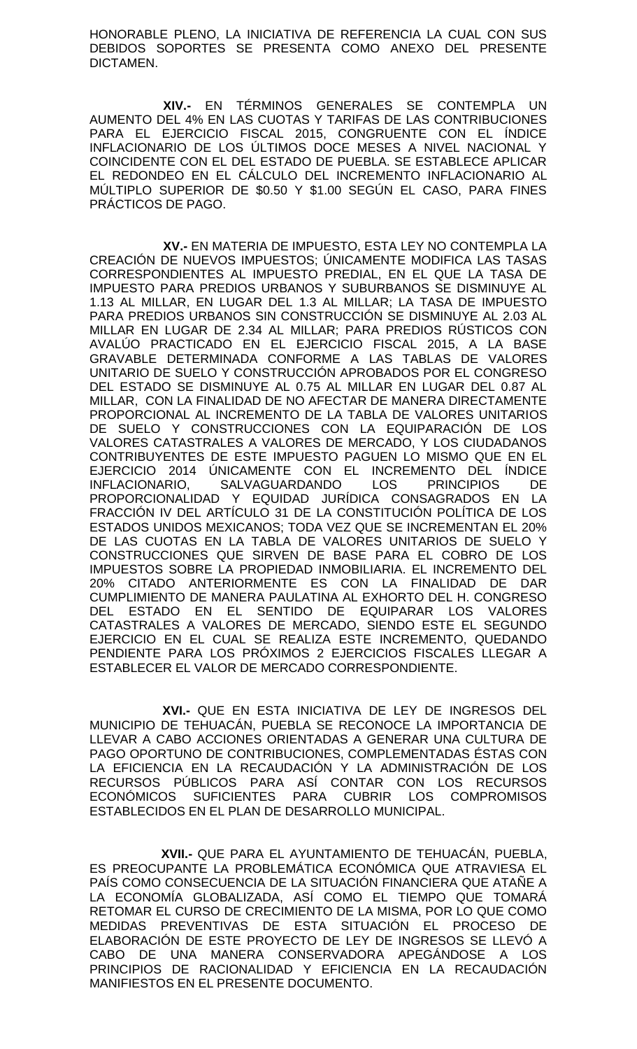HONORABLE PLENO, LA INICIATIVA DE REFERENCIA LA CUAL CON SUS DEBIDOS SOPORTES SE PRESENTA COMO ANEXO DEL PRESENTE DICTAMEN.

**XIV.-** EN TÉRMINOS GENERALES SE CONTEMPLA UN AUMENTO DEL 4% EN LAS CUOTAS Y TARIFAS DE LAS CONTRIBUCIONES PARA EL EJERCICIO FISCAL 2015, CONGRUENTE CON EL ÍNDICE INFLACIONARIO DE LOS ÚLTIMOS DOCE MESES A NIVEL NACIONAL Y COINCIDENTE CON EL DEL ESTADO DE PUEBLA. SE ESTABLECE APLICAR EL REDONDEO EN EL CÁLCULO DEL INCREMENTO INFLACIONARIO AL MÚLTIPLO SUPERIOR DE \$0.50 Y \$1.00 SEGÚN EL CASO, PARA FINES PRÁCTICOS DE PAGO.

**XV.-** EN MATERIA DE IMPUESTO, ESTA LEY NO CONTEMPLA LA CREACIÓN DE NUEVOS IMPUESTOS; ÚNICAMENTE MODIFICA LAS TASAS CORRESPONDIENTES AL IMPUESTO PREDIAL, EN EL QUE LA TASA DE IMPUESTO PARA PREDIOS URBANOS Y SUBURBANOS SE DISMINUYE AL 1.13 AL MILLAR, EN LUGAR DEL 1.3 AL MILLAR; LA TASA DE IMPUESTO PARA PREDIOS URBANOS SIN CONSTRUCCIÓN SE DISMINUYE AL 2.03 AL MILLAR EN LUGAR DE 2.34 AL MILLAR; PARA PREDIOS RÚSTICOS CON AVALÚO PRACTICADO EN EL EJERCICIO FISCAL 2015, A LA BASE GRAVABLE DETERMINADA CONFORME A LAS TABLAS DE VALORES UNITARIO DE SUELO Y CONSTRUCCIÓN APROBADOS POR EL CONGRESO DEL ESTADO SE DISMINUYE AL 0.75 AL MILLAR EN LUGAR DEL 0.87 AL MILLAR, CON LA FINALIDAD DE NO AFECTAR DE MANERA DIRECTAMENTE PROPORCIONAL AL INCREMENTO DE LA TABLA DE VALORES UNITARIOS DE SUELO Y CONSTRUCCIONES CON LA EQUIPARACIÓN DE LOS VALORES CATASTRALES A VALORES DE MERCADO, Y LOS CIUDADANOS CONTRIBUYENTES DE ESTE IMPUESTO PAGUEN LO MISMO QUE EN EL EJERCICIO 2014 ÚNICAMENTE CON EL INCREMENTO DEL ÍNDICE<br>INFLACIONARIO, SALVAGUARDANDO LOS PRINCIPIOS DE SALVAGUARDANDO LOS PRINCIPIOS DE PROPORCIONALIDAD Y EQUIDAD JURÍDICA CONSAGRADOS EN LA FRACCIÓN IV DEL ARTÍCULO 31 DE LA CONSTITUCIÓN POLÍTICA DE LOS ESTADOS UNIDOS MEXICANOS; TODA VEZ QUE SE INCREMENTAN EL 20% DE LAS CUOTAS EN LA TABLA DE VALORES UNITARIOS DE SUELO Y CONSTRUCCIONES QUE SIRVEN DE BASE PARA EL COBRO DE LOS IMPUESTOS SOBRE LA PROPIEDAD INMOBILIARIA. EL INCREMENTO DEL 20% CITADO ANTERIORMENTE ES CON LA FINALIDAD DE DAR CUMPLIMIENTO DE MANERA PAULATINA AL EXHORTO DEL H. CONGRESO DEL ESTADO EN EL SENTIDO DE EQUIPARAR LOS VALORES CATASTRALES A VALORES DE MERCADO, SIENDO ESTE EL SEGUNDO EJERCICIO EN EL CUAL SE REALIZA ESTE INCREMENTO, QUEDANDO PENDIENTE PARA LOS PRÓXIMOS 2 EJERCICIOS FISCALES LLEGAR A ESTABLECER EL VALOR DE MERCADO CORRESPONDIENTE.

**XVI.-** QUE EN ESTA INICIATIVA DE LEY DE INGRESOS DEL MUNICIPIO DE TEHUACÁN, PUEBLA SE RECONOCE LA IMPORTANCIA DE LLEVAR A CABO ACCIONES ORIENTADAS A GENERAR UNA CULTURA DE PAGO OPORTUNO DE CONTRIBUCIONES, COMPLEMENTADAS ÉSTAS CON LA EFICIENCIA EN LA RECAUDACIÓN Y LA ADMINISTRACIÓN DE LOS RECURSOS PÚBLICOS PARA ASÍ CONTAR CON LOS RECURSOS ECONÓMICOS SUFICIENTES PARA CUBRIR LOS COMPROMISOS ESTABLECIDOS EN EL PLAN DE DESARROLLO MUNICIPAL.

**XVII.-** QUE PARA EL AYUNTAMIENTO DE TEHUACÁN, PUEBLA, ES PREOCUPANTE LA PROBLEMÁTICA ECONÓMICA QUE ATRAVIESA EL PAÍS COMO CONSECUENCIA DE LA SITUACIÓN FINANCIERA QUE ATAÑE A LA ECONOMÍA GLOBALIZADA, ASÍ COMO EL TIEMPO QUE TOMARÁ RETOMAR EL CURSO DE CRECIMIENTO DE LA MISMA, POR LO QUE COMO MEDIDAS PREVENTIVAS DE ESTA SITUACIÓN EL PROCESO DE ELABORACIÓN DE ESTE PROYECTO DE LEY DE INGRESOS SE LLEVÓ A CABO DE UNA MANERA CONSERVADORA APEGÁNDOSE A LOS PRINCIPIOS DE RACIONALIDAD Y EFICIENCIA EN LA RECAUDACIÓN MANIFIESTOS EN EL PRESENTE DOCUMENTO.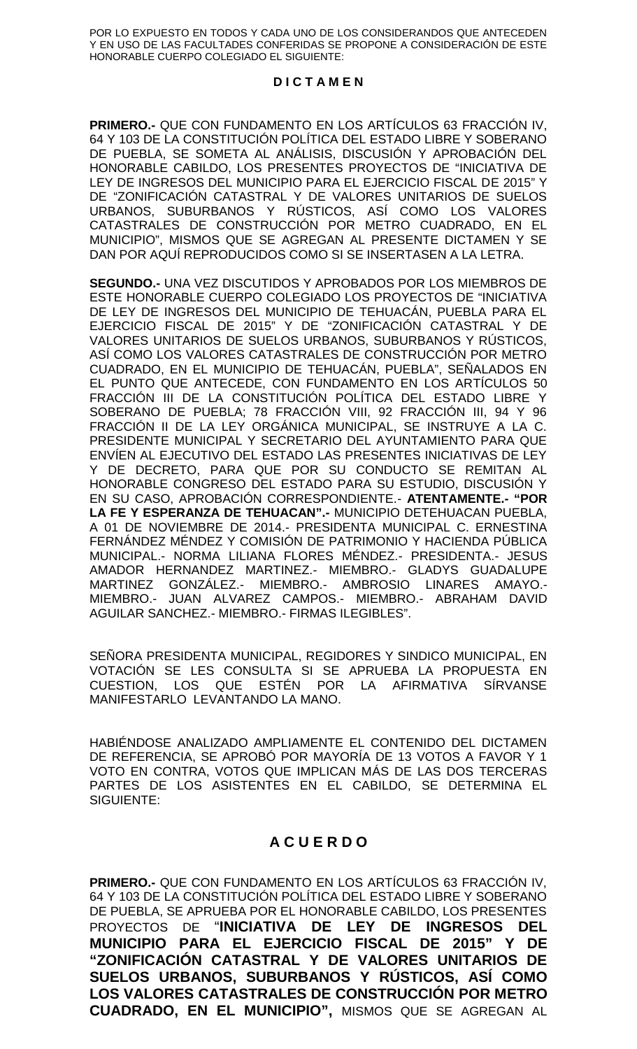POR LO EXPUESTO EN TODOS Y CADA UNO DE LOS CONSIDERANDOS QUE ANTECEDEN Y EN USO DE LAS FACULTADES CONFERIDAS SE PROPONE A CONSIDERACIÓN DE ESTE HONORABLE CUERPO COLEGIADO EL SIGUIENTE:

## **D I C T A M E N**

**PRIMERO.-** QUE CON FUNDAMENTO EN LOS ARTÍCULOS 63 FRACCIÓN IV, 64 Y 103 DE LA CONSTITUCIÓN POLÍTICA DEL ESTADO LIBRE Y SOBERANO DE PUEBLA, SE SOMETA AL ANÁLISIS, DISCUSIÓN Y APROBACIÓN DEL HONORABLE CABILDO, LOS PRESENTES PROYECTOS DE "INICIATIVA DE LEY DE INGRESOS DEL MUNICIPIO PARA EL EJERCICIO FISCAL DE 2015" Y DE "ZONIFICACIÓN CATASTRAL Y DE VALORES UNITARIOS DE SUELOS URBANOS, SUBURBANOS Y RÚSTICOS, ASÍ COMO LOS VALORES CATASTRALES DE CONSTRUCCIÓN POR METRO CUADRADO, EN EL MUNICIPIO", MISMOS QUE SE AGREGAN AL PRESENTE DICTAMEN Y SE DAN POR AQUÍ REPRODUCIDOS COMO SI SE INSERTASEN A LA LETRA.

**SEGUNDO.-** UNA VEZ DISCUTIDOS Y APROBADOS POR LOS MIEMBROS DE ESTE HONORABLE CUERPO COLEGIADO LOS PROYECTOS DE "INICIATIVA DE LEY DE INGRESOS DEL MUNICIPIO DE TEHUACÁN, PUEBLA PARA EL EJERCICIO FISCAL DE 2015" Y DE "ZONIFICACIÓN CATASTRAL Y DE VALORES UNITARIOS DE SUELOS URBANOS, SUBURBANOS Y RÚSTICOS, ASÍ COMO LOS VALORES CATASTRALES DE CONSTRUCCIÓN POR METRO CUADRADO, EN EL MUNICIPIO DE TEHUACÁN, PUEBLA", SEÑALADOS EN EL PUNTO QUE ANTECEDE, CON FUNDAMENTO EN LOS ARTÍCULOS 50 FRACCIÓN III DE LA CONSTITUCIÓN POLÍTICA DEL ESTADO LIBRE Y SOBERANO DE PUEBLA; 78 FRACCION VIII, 92 FRACCION III, 94 Y 96 FRACCIÓN II DE LA LEY ORGÁNICA MUNICIPAL, SE INSTRUYE A LA C. PRESIDENTE MUNICIPAL Y SECRETARIO DEL AYUNTAMIENTO PARA QUE ENVÍEN AL EJECUTIVO DEL ESTADO LAS PRESENTES INICIATIVAS DE LEY Y DE DECRETO, PARA QUE POR SU CONDUCTO SE REMITAN AL HONORABLE CONGRESO DEL ESTADO PARA SU ESTUDIO, DISCUSIÓN Y EN SU CASO, APROBACIÓN CORRESPONDIENTE.- **ATENTAMENTE.- "POR LA FE Y ESPERANZA DE TEHUACAN".-** MUNICIPIO DETEHUACAN PUEBLA, A 01 DE NOVIEMBRE DE 2014.- PRESIDENTA MUNICIPAL C. ERNESTINA FERNÁNDEZ MÉNDEZ Y COMISIÓN DE PATRIMONIO Y HACIENDA PÚBLICA MUNICIPAL.- NORMA LILIANA FLORES MÉNDEZ.- PRESIDENTA.- JESUS AMADOR HERNANDEZ MARTINEZ.- MIEMBRO.- GLADYS GUADALUPE MARTINEZ GONZÁLEZ.- MIEMBRO.- AMBROSIO LINARES AMAYO.- MIEMBRO.- JUAN ALVAREZ CAMPOS.- MIEMBRO.- ABRAHAM DAVID AGUILAR SANCHEZ.- MIEMBRO.- FIRMAS ILEGIBLES".

SEÑORA PRESIDENTA MUNICIPAL, REGIDORES Y SINDICO MUNICIPAL, EN VOTACIÓN SE LES CONSULTA SI SE APRUEBA LA PROPUESTA EN CUESTION, LOS QUE ESTÉN POR LA AFIRMATIVA SÍRVANSE MANIFESTARLO LEVANTANDO LA MANO.

HABIÉNDOSE ANALIZADO AMPLIAMENTE EL CONTENIDO DEL DICTAMEN DE REFERENCIA, SE APROBÓ POR MAYORÍA DE 13 VOTOS A FAVOR Y 1 VOTO EN CONTRA, VOTOS QUE IMPLICAN MÁS DE LAS DOS TERCERAS PARTES DE LOS ASISTENTES EN EL CABILDO, SE DETERMINA EL SIGUIENTE:

## **A C U E R D O**

**PRIMERO.-** QUE CON FUNDAMENTO EN LOS ARTÍCULOS 63 FRACCIÓN IV, 64 Y 103 DE LA CONSTITUCIÓN POLÍTICA DEL ESTADO LIBRE Y SOBERANO DE PUEBLA, SE APRUEBA POR EL HONORABLE CABILDO, LOS PRESENTES PROYECTOS DE "**INICIATIVA DE LEY DE INGRESOS DEL MUNICIPIO PARA EL EJERCICIO FISCAL DE 2015" Y DE "ZONIFICACIÓN CATASTRAL Y DE VALORES UNITARIOS DE SUELOS URBANOS, SUBURBANOS Y RÚSTICOS, ASÍ COMO LOS VALORES CATASTRALES DE CONSTRUCCIÓN POR METRO CUADRADO, EN EL MUNICIPIO",** MISMOS QUE SE AGREGAN AL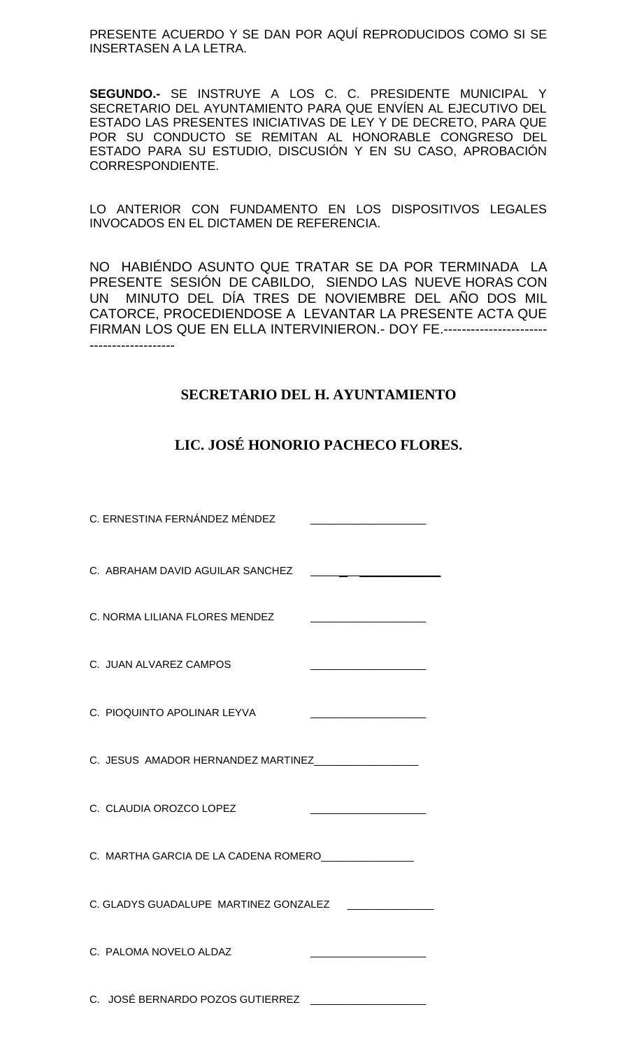PRESENTE ACUERDO Y SE DAN POR AQUÍ REPRODUCIDOS COMO SI SE INSERTASEN A LA LETRA.

**SEGUNDO.-** SE INSTRUYE A LOS C. C. PRESIDENTE MUNICIPAL Y SECRETARIO DEL AYUNTAMIENTO PARA QUE ENVÍEN AL EJECUTIVO DEL ESTADO LAS PRESENTES INICIATIVAS DE LEY Y DE DECRETO, PARA QUE POR SU CONDUCTO SE REMITAN AL HONORABLE CONGRESO DEL ESTADO PARA SU ESTUDIO, DISCUSIÓN Y EN SU CASO, APROBACIÓN CORRESPONDIENTE.

LO ANTERIOR CON FUNDAMENTO EN LOS DISPOSITIVOS LEGALES INVOCADOS EN EL DICTAMEN DE REFERENCIA.

NO HABIÉNDO ASUNTO QUE TRATAR SE DA POR TERMINADA LA PRESENTE SESIÓN DE CABILDO, SIENDO LAS NUEVE HORAS CON UN MINUTO DEL DÍA TRES DE NOVIEMBRE DEL AÑO DOS MIL CATORCE, PROCEDIENDOSE A LEVANTAR LA PRESENTE ACTA QUE FIRMAN LOS QUE EN ELLA INTERVINIERON.- DOY FE.----------------------- -------------------

## **SECRETARIO DEL H. AYUNTAMIENTO**

## **LIC. JOSÉ HONORIO PACHECO FLORES.**

| C. ERNESTINA FERNÁNDEZ MÉNDEZ                            |                                                                  |
|----------------------------------------------------------|------------------------------------------------------------------|
| C. ABRAHAM DAVID AGUILAR SANCHEZ                         |                                                                  |
| C. NORMA LILIANA FLORES MENDEZ                           |                                                                  |
| C. JUAN ALVAREZ CAMPOS                                   |                                                                  |
| C. PIOQUINTO APOLINAR LEYVA                              |                                                                  |
| C. JESUS AMADOR HERNANDEZ MARTINEZ___________________    |                                                                  |
| C. CLAUDIA OROZCO LOPEZ                                  |                                                                  |
| C. MARTHA GARCIA DE LA CADENA ROMERO________________     |                                                                  |
| C. GLADYS GUADALUPE MARTINEZ GONZALEZ _________________  |                                                                  |
| C. PALOMA NOVELO ALDAZ                                   | <u> 1980 - Jan James James Barnett, fransk politik (d. 1980)</u> |
| C. JOSÉ BERNARDO POZOS GUTIERREZ _______________________ |                                                                  |